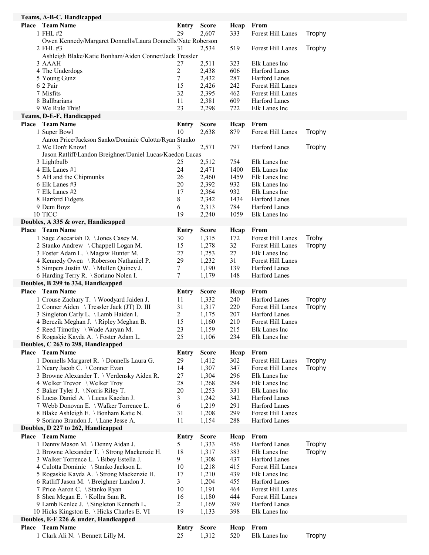| Teams, A-B-C, Handicapped                                                      |                    |                       |             |                                |        |
|--------------------------------------------------------------------------------|--------------------|-----------------------|-------------|--------------------------------|--------|
| Place Team Name                                                                | Entry              | <b>Score</b>          | Heap        | From                           |        |
| 1 FHL #2                                                                       | 29                 | 2,607                 | 333         | Forest Hill Lanes              | Trophy |
| Owen Kennedy/Margaret Donnells/Laura Donnells/Nate Roberson                    |                    |                       |             |                                |        |
| 2 FHL #3                                                                       | 31                 | 2,534                 | 519         | Forest Hill Lanes              | Trophy |
| Ashleigh Blake/Katie Bonham/Aiden Conner/Jack Tressler<br>3 AAAH               | 27                 | 2,511                 | 323         | Elk Lanes Inc                  |        |
| 4 The Underdogs                                                                | $\overline{c}$     | 2,438                 | 606         | Harford Lanes                  |        |
| 5 Young Gunz                                                                   | 7                  | 2,432                 | 287         | Harford Lanes                  |        |
| 6 2 Pair                                                                       | 15                 | 2,426                 | 242         | Forest Hill Lanes              |        |
| 7 Misfits                                                                      | 32                 | 2,395                 | 462         | Forest Hill Lanes              |        |
| 8 Ballbarians                                                                  | 11                 | 2,381                 | 609         | Harford Lanes                  |        |
| 9 We Rule This!                                                                | 23                 | 2,298                 | 722         | Elk Lanes Inc                  |        |
| Teams, D-E-F, Handicapped                                                      |                    |                       |             |                                |        |
| Place Team Name                                                                | <b>Entry</b>       | <b>Score</b>          | Hcap        | From                           |        |
| 1 Super Bowl                                                                   | 10                 | 2,638                 | 879         | Forest Hill Lanes              | Trophy |
| Aaron Price/Jackson Sanko/Dominic Culotta/Ryan Stanko                          |                    |                       |             |                                |        |
| 2 We Don't Know!                                                               | 3                  | 2,571                 | 797         | Harford Lanes                  | Trophy |
| Jason Ratliff/Landon Breighner/Daniel Lucas/Kaedon Lucas                       |                    |                       |             |                                |        |
| 3 Lightbulb                                                                    | 25                 | 2,512                 | 754         | Elk Lanes Inc                  |        |
| 4 Elk Lanes #1                                                                 | 24                 | 2,471                 | 1400        | Elk Lanes Inc                  |        |
| 5 AH and the Chipmunks                                                         | 26                 | 2,460                 | 1459        | Elk Lanes Inc                  |        |
| 6 Elk Lanes #3                                                                 | 20                 | 2,392                 | 932         | Elk Lanes Inc                  |        |
| 7 Elk Lanes #2                                                                 | 17                 | 2,364                 | 932         | Elk Lanes Inc                  |        |
| 8 Harford Fidgets                                                              | 8                  | 2,342                 | 1434        | Harford Lanes                  |        |
| 9 Dem Boyz                                                                     | 6                  | 2,313                 | 784         | Harford Lanes                  |        |
| 10 TICC                                                                        | 19                 | 2,240                 | 1059        | Elk Lanes Inc                  |        |
| Doubles, A 335 & over, Handicapped                                             |                    |                       |             |                                |        |
| <b>Place</b> Team Name                                                         | <b>Entry</b>       | <b>Score</b>          | Heap        | From                           |        |
| 1 Sage Zaccariah D. \ Jones Casey M.                                           | 30                 | 1,315                 | 172         | Forest Hill Lanes              | Trohy  |
| 2 Stanko Andrew \ Chappell Logan M.                                            | 15                 | 1,278                 | 32          | Forest Hill Lanes              | Trophy |
| 3 Foster Adam L. \Magaw Hunter M.                                              | 27                 | 1,253                 | 27          | Elk Lanes Inc                  |        |
| 4 Kennedy Owen \ Roberson Nathaniel P.                                         | 29                 | 1,232                 | 31          | Forest Hill Lanes              |        |
| 5 Simpers Justin W. \Mullen Quincy J.<br>6 Harding Terry R. \ Soriano Nolen I. | 7<br>7             | 1,190<br>1,179        | 139<br>148  | Harford Lanes<br>Harford Lanes |        |
|                                                                                |                    |                       |             |                                |        |
|                                                                                |                    |                       |             |                                |        |
| Doubles, B 299 to 334, Handicapped                                             |                    |                       |             |                                |        |
| <b>Place</b> Team Name                                                         | Entry              | <b>Score</b>          | Heap        | From                           |        |
| 1 Crouse Zachary T. \ Woodyard Jaiden J.                                       | 11                 | 1,332                 | 240         | Harford Lanes                  | Trophy |
| 2 Conner Aiden \ Tressler Jack (JT) D. III                                     | 31                 | 1,317                 | 220         | Forest Hill Lanes              | Trophy |
| 3 Singleton Carly L. \Lamb Haiden I.                                           | $\overline{c}$     | 1,175                 | 207         | <b>Harford Lanes</b>           |        |
| 4 Berczik Meghan J. \Ripley Meghan B.                                          | 15                 | 1,160                 | 210         | Forest Hill Lanes              |        |
| 5 Reed Timothy \ Wade Aaryan M.                                                | 23                 | 1,159                 | 215         | Elk Lanes Inc                  |        |
| 6 Rogaskie Kayda A. \ Foster Adam L.                                           | 25                 | 1,106                 | 234         | Elk Lanes Inc                  |        |
| Doubles, C 263 to 298, Handicapped                                             |                    |                       |             |                                |        |
| <b>Place</b> Team Name                                                         | Entry              | <b>Score</b>          | Heap        | From                           |        |
| 1 Donnells Margaret R. \Donnells Laura G.                                      | 29                 | 1,412                 | 302         | Forest Hill Lanes              | Trophy |
| 2 Neary Jacob C. \ Conner Evan                                                 | 14                 | 1,307                 | 347         | Forest Hill Lanes              | Trophy |
| 3 Browne Alexander T. \ Verdensky Aiden R.                                     | 27<br>28           | 1,304                 | 296         | Elk Lanes Inc<br>Elk Lanes Inc |        |
| 4 Welker Trevor \ Welker Troy<br>5 Baker Tyler J. \Norris Riley T.             | 20                 | 1,268                 | 294<br>331  | Elk Lanes Inc                  |        |
| 6 Lucas Daniel A. \Lucas Kaedan J.                                             | 3                  | 1,253<br>1,242        | 342         | Harford Lanes                  |        |
| 7 Webb Donovan E. \ Walker Torrence L.                                         | 6                  | 1,219                 | 291         | Harford Lanes                  |        |
| 8 Blake Ashleigh E. \ Bonham Katie N.                                          | 31                 | 1,208                 | 299         | Forest Hill Lanes              |        |
| 9 Soriano Brandon J. \Lane Jesse A.                                            | 11                 | 1,154                 | 288         | Harford Lanes                  |        |
| Doubles, D 227 to 262, Handicapped                                             |                    |                       |             |                                |        |
| <b>Place</b> Team Name                                                         | Entry              | <b>Score</b>          | Hcap        | From                           |        |
| 1 Denny Mason M. \Denny Aidan J.                                               | 5                  | 1,333                 | 456         | Harford Lanes                  | Trophy |
| 2 Browne Alexander T. \ Strong Mackenzie H.                                    | 18                 | 1,317                 | 383         | Elk Lanes Inc                  | Trophy |
| 3 Walker Torrence L. \Bibey Estella J.                                         | 9                  | 1,308                 | 437         | Harford Lanes                  |        |
| 4 Culotta Dominic \ Stanko Jackson L.                                          | 10                 | 1,218                 | 415         | Forest Hill Lanes              |        |
| 5 Rogaskie Kayda A. \ Strong Mackenzie H.                                      | 17                 | 1,210                 | 439         | Elk Lanes Inc                  |        |
| 6 Ratliff Jason M. \ Breighner Landon J.                                       | 3                  | 1,204                 | 455         | Harford Lanes                  |        |
| 7 Price Aaron C. \ Stanko Ryan                                                 | 10                 | 1,191                 | 464         | Forest Hill Lanes              |        |
| 8 Shea Megan E. \ Kollra Sam R.                                                | 16                 | 1,180                 | 444         | Forest Hill Lanes              |        |
| 9 Lamb Kenlee J. \ Singleton Kenneth L.                                        | 2                  | 1,169                 | 399         | Harford Lanes                  |        |
| 10 Hicks Kingston E. \Hicks Charles E. VI                                      | 19                 | 1,133                 | 398         | Elk Lanes Inc                  |        |
| Doubles, E-F 226 & under, Handicapped                                          |                    |                       |             |                                |        |
| Place Team Name<br>1 Clark Ali N. \ Bennett Lilly M.                           | <b>Entry</b><br>25 | <b>Score</b><br>1,312 | Heap<br>520 | From<br>Elk Lanes Inc          | Trophy |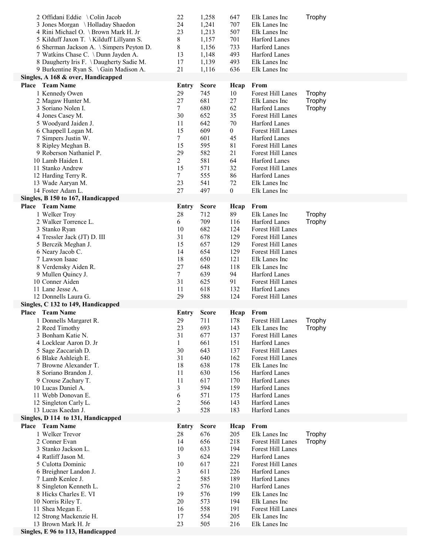| 2 Offidani Eddie \Colin Jacob                            | 22              | 1,258        | 647            | Elk Lanes Inc     | Trophy |
|----------------------------------------------------------|-----------------|--------------|----------------|-------------------|--------|
| 3 Jones Morgan \Holladay Shaedon                         | 24              | 1,241        | 707            | Elk Lanes Inc     |        |
| 4 Rini Michael O. \ Brown Mark H. Jr                     | 23              | 1,213        | 507            | Elk Lanes Inc     |        |
| 5 Kilduff Jaxon T. \Kilduff Lillyann S.                  | 8               | 1,157        | 701            | Harford Lanes     |        |
| 6 Sherman Jackson A. \ Simpers Peyton D.                 | 8               | 1,156        | 733            | Harford Lanes     |        |
| 7 Watkins Chase C. \Dunn Jayden A.                       | 13              | 1,148        | 493            | Harford Lanes     |        |
| 8 Daugherty Iris F. \Daugherty Sadie M.                  | 17              | 1,139        | 493            | Elk Lanes Inc     |        |
| 9 Burkentine Ryan S. \Gain Madison A.                    | 21              | 1,116        | 636            | Elk Lanes Inc     |        |
| Singles, A 168 & over, Handicapped                       |                 |              |                |                   |        |
| <b>Place</b> Team Name                                   | Entry           | <b>Score</b> | Heap           | From              |        |
| 1 Kennedy Owen                                           | 29              | 745          | 10             | Forest Hill Lanes | Trophy |
| 2 Magaw Hunter M.                                        | 27              | 681          | 27             | Elk Lanes Inc     | Trophy |
| 3 Soriano Nolen I.                                       | $7\overline{ }$ | 680          | 62             | Harford Lanes     | Trophy |
| 4 Jones Casey M.                                         | 30              | 652          | 35             | Forest Hill Lanes |        |
| 5 Woodyard Jaiden J.                                     | 11              | 642          | 70             | Harford Lanes     |        |
| 6 Chappell Logan M.                                      | 15              | 609          | $\overline{0}$ | Forest Hill Lanes |        |
| 7 Simpers Justin W.                                      | $\tau$          | 601          | 45             | Harford Lanes     |        |
| 8 Ripley Meghan B.                                       | 15              | 595          | 81             | Forest Hill Lanes |        |
| 9 Roberson Nathaniel P.                                  | 29              | 582          | 21             | Forest Hill Lanes |        |
| 10 Lamb Haiden I.                                        | 2               | 581          | 64             | Harford Lanes     |        |
| 11 Stanko Andrew                                         | 15              | 571          | 32             | Forest Hill Lanes |        |
| 12 Harding Terry R.                                      | $\tau$          | 555          | 86             | Harford Lanes     |        |
| 13 Wade Aaryan M.                                        | 23              | 541          | 72             | Elk Lanes Inc     |        |
| 14 Foster Adam L.                                        | 27              | 497          | $\mathbf{0}$   | Elk Lanes Inc     |        |
| Singles, B 150 to 167, Handicapped                       |                 |              |                |                   |        |
| Place Team Name                                          | <b>Entry</b>    | <b>Score</b> | Heap           | From              |        |
| 1 Welker Troy                                            | 28              | 712          | 89             | Elk Lanes Inc     | Trophy |
| 2 Walker Torrence L.                                     | 6               | 709          | 116            | Harford Lanes     | Trophy |
| 3 Stanko Ryan                                            | 10              | 682          | 124            | Forest Hill Lanes |        |
| 4 Tressler Jack (JT) D. III                              | 31              | 678          | 129            | Forest Hill Lanes |        |
| 5 Berczik Meghan J.                                      | 15              | 657          | 129            | Forest Hill Lanes |        |
| 6 Neary Jacob C.                                         | 14              | 654          | 129            | Forest Hill Lanes |        |
| 7 Lawson Isaac                                           | 18              | 650          | 121            | Elk Lanes Inc     |        |
| 8 Verdensky Aiden R.                                     | 27              | 648          | 118            | Elk Lanes Inc     |        |
|                                                          |                 |              |                |                   |        |
| 9 Mullen Quincy J.                                       | $\tau$          | 639          | 94             | Harford Lanes     |        |
| 10 Conner Aiden                                          | 31              | 625          | 91             | Forest Hill Lanes |        |
| 11 Lane Jesse A.                                         | 11              | 618          | 132            | Harford Lanes     |        |
| 12 Donnells Laura G.                                     | 29              | 588          | 124            | Forest Hill Lanes |        |
| Singles, C 132 to 149, Handicapped                       |                 |              |                |                   |        |
| Place Team Name                                          | Entry           | <b>Score</b> | Heap           | From              |        |
| 1 Donnells Margaret R.                                   | 29              | 711          | 178            | Forest Hill Lanes | Trophy |
| 2 Reed Timothy                                           | 23              | 693          | 143            | Elk Lanes Inc     | Trophy |
| 3 Bonham Katie N.                                        | 31              | 677          | 137            | Forest Hill Lanes |        |
| 4 Locklear Aaron D. Jr                                   | $\mathbf{1}$    | 661          | 151            | Harford Lanes     |        |
| 5 Sage Zaccariah D.                                      | 30              | 643          | 137            | Forest Hill Lanes |        |
| 6 Blake Ashleigh E.                                      | 31              | 640          | 162            | Forest Hill Lanes |        |
| 7 Browne Alexander T.                                    | 18              | 638          | 178            | Elk Lanes Inc     |        |
| 8 Soriano Brandon J.                                     | 11              | 630          | 156            | Harford Lanes     |        |
| 9 Crouse Zachary T.                                      | 11              | 617          | 170            | Harford Lanes     |        |
| 10 Lucas Daniel A.                                       | 3               | 594          | 159            | Harford Lanes     |        |
| 11 Webb Donovan E.                                       | 6               | 571          | 175            | Harford Lanes     |        |
| 12 Singleton Carly L.                                    | $\overline{c}$  | 566          | 143            | Harford Lanes     |        |
| 13 Lucas Kaedan J.                                       | 3               | 528          | 183            | Harford Lanes     |        |
| Singles, D 114 to 131, Handicapped                       |                 |              |                |                   |        |
| Place Team Name                                          | <b>Entry</b>    | <b>Score</b> | Heap           | From              |        |
| 1 Welker Trevor                                          | 28              | 676          | 205            | Elk Lanes Inc     | Trophy |
| 2 Conner Evan                                            | 14              | 656          | 218            | Forest Hill Lanes | Trophy |
| 3 Stanko Jackson L.                                      | 10              | 633          | 194            | Forest Hill Lanes |        |
| 4 Ratliff Jason M.                                       | 3               | 624          | 229            | Harford Lanes     |        |
| 5 Culotta Dominic                                        | 10              | 617          | 221            | Forest Hill Lanes |        |
| 6 Breighner Landon J.                                    | 3               | 611          | 226            | Harford Lanes     |        |
| 7 Lamb Kenlee J.                                         | $\overline{c}$  | 585          | 189            | Harford Lanes     |        |
| 8 Singleton Kenneth L.                                   | $\overline{c}$  | 576          | 210            | Harford Lanes     |        |
| 8 Hicks Charles E. VI                                    | 19              | 576          | 199            | Elk Lanes Inc     |        |
| 10 Norris Riley T.                                       | 20              | 573          | 194            | Elk Lanes Inc     |        |
| 11 Shea Megan E.                                         | 16              | 558          | 191            | Forest Hill Lanes |        |
| 12 Strong Mackenzie H.                                   | 17              | 554          | 205            | Elk Lanes Inc     |        |
| 13 Brown Mark H. Jr<br>Singles, E 96 to 113, Handicapped | 23              | 505          | 216            | Elk Lanes Inc     |        |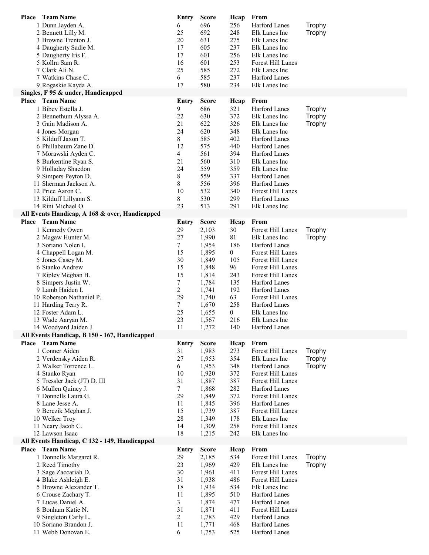| Place<br><b>Team Name</b>                                               | Entry          | <b>Score</b>   | Hcap             | From                               |                  |
|-------------------------------------------------------------------------|----------------|----------------|------------------|------------------------------------|------------------|
| 1 Dunn Jayden A.                                                        | 6              | 696            | 256              | Harford Lanes                      | Trophy           |
| 2 Bennett Lilly M.                                                      | 25             | 692            | 248              | Elk Lanes Inc                      | Trophy           |
| 3 Browne Trenton J.                                                     | 20             | 631            | 275              | Elk Lanes Inc                      |                  |
| 4 Daugherty Sadie M.                                                    | 17             | 605            | 237              | Elk Lanes Inc                      |                  |
| 5 Daugherty Iris F.                                                     | 17             | 601            | 256              | Elk Lanes Inc                      |                  |
| 5 Kollra Sam R.                                                         | 16<br>25       | 601            | 253              | Forest Hill Lanes                  |                  |
| 7 Clark Ali N.<br>7 Watkins Chase C.                                    |                | 585<br>585     | 272<br>237       | Elk Lanes Inc<br>Harford Lanes     |                  |
| 9 Rogaskie Kayda A.                                                     | 6<br>17        | 580            | 234              | Elk Lanes Inc                      |                  |
| Singles, F 95 & under, Handicapped                                      |                |                |                  |                                    |                  |
| <b>Place</b> Team Name                                                  | <b>Entry</b>   | <b>Score</b>   | Heap             | From                               |                  |
| 1 Bibey Estella J.                                                      | 9              | 686            | 321              | <b>Harford Lanes</b>               | Trophy           |
| 2 Bennethum Alyssa A.                                                   | 22             | 630            | 372              | Elk Lanes Inc                      | Trophy           |
| 3 Gain Madison A.                                                       | 21             | 622            | 326              | Elk Lanes Inc                      | Trophy           |
| 4 Jones Morgan                                                          | 24             | 620            | 348              | Elk Lanes Inc                      |                  |
| 5 Kilduff Jaxon T.                                                      | 8              | 585            | 402              | Harford Lanes                      |                  |
| 6 Phillabaum Zane D.                                                    | 12             | 575            | 440              | Harford Lanes                      |                  |
| 7 Morawski Ayden C.                                                     | 4              | 561            | 394              | Harford Lanes                      |                  |
| 8 Burkentine Ryan S.                                                    | 21             | 560            | 310              | Elk Lanes Inc                      |                  |
| 9 Holladay Shaedon                                                      | 24             | 559            | 359              | Elk Lanes Inc                      |                  |
| 9 Simpers Peyton D.                                                     | 8              | 559            | 337              | Harford Lanes                      |                  |
| 11 Sherman Jackson A.                                                   | 8              | 556            | 396              | Harford Lanes                      |                  |
| 12 Price Aaron C.                                                       | 10             | 532            | 340              | Forest Hill Lanes                  |                  |
| 13 Kilduff Lillyann S.<br>14 Rini Michael O.                            | 8<br>23        | 530<br>513     | 299<br>291       | Harford Lanes<br>Elk Lanes Inc     |                  |
| All Events Handicap, A 168 & over, Handicapped                          |                |                |                  |                                    |                  |
| <b>Place</b> Team Name                                                  | Entry          | <b>Score</b>   | Heap             | From                               |                  |
| 1 Kennedy Owen                                                          | 29             | 2,103          | 30               | Forest Hill Lanes                  | Trophy           |
| 2 Magaw Hunter M.                                                       | 27             | 1,990          | 81               | Elk Lanes Inc                      | Trophy           |
| 3 Soriano Nolen I.                                                      | 7              | 1,954          | 186              | Harford Lanes                      |                  |
| 4 Chappell Logan M.                                                     | 15             | 1,895          | $\overline{0}$   | Forest Hill Lanes                  |                  |
| 5 Jones Casey M.                                                        | 30             | 1,849          | 105              | Forest Hill Lanes                  |                  |
| 6 Stanko Andrew                                                         | 15             | 1,848          | 96               | Forest Hill Lanes                  |                  |
| 7 Ripley Meghan B.                                                      | 15             | 1,814          | 243              | Forest Hill Lanes                  |                  |
| 8 Simpers Justin W.                                                     | 7              | 1,784          | 135              | Harford Lanes                      |                  |
| 9 Lamb Haiden I.                                                        | $\overline{c}$ | 1,741          | 192              | Harford Lanes                      |                  |
| 10 Roberson Nathaniel P.                                                | 29             | 1,740          | 63               | Forest Hill Lanes                  |                  |
| 11 Harding Terry R.                                                     | 7              | 1,670          | 258              | Harford Lanes                      |                  |
| 12 Foster Adam L.                                                       | 25             | 1,655          | $\boldsymbol{0}$ | Elk Lanes Inc                      |                  |
| 13 Wade Aaryan M.                                                       | 23<br>11       | 1,567          | 216<br>140       | Elk Lanes Inc                      |                  |
| 14 Woodyard Jaiden J.<br>All Events Handicap, B 150 - 167, Handicapped  |                | 1,272          |                  | Harford Lanes                      |                  |
| <b>Place</b> Team Name                                                  | Entry          | <b>Score</b>   | Heap             | From                               |                  |
| 1 Conner Aiden                                                          | 31             | 1,983          | 273              | Forest Hill Lanes                  | Trophy           |
| 2 Verdensky Aiden R.                                                    | 27             | 1,953          | 354              | Elk Lanes Inc                      | Trophy           |
| 2 Walker Torrence L.                                                    | 6              | 1,953          | 348              | Harford Lanes                      | Trophy           |
| 4 Stanko Ryan                                                           | 10             | 1,920          | 372              | Forest Hill Lanes                  |                  |
| 5 Tressler Jack (JT) D. III                                             | 31             | 1,887          | 387              | Forest Hill Lanes                  |                  |
| 6 Mullen Quincy J.                                                      | 7              | 1,868          | 282              | Harford Lanes                      |                  |
| 7 Donnells Laura G.                                                     | 29             | 1,849          | 372              | Forest Hill Lanes                  |                  |
| 8 Lane Jesse A.                                                         | 11             | 1,845          | 396              | Harford Lanes                      |                  |
| 9 Berczik Meghan J.                                                     | 15             | 1,739          | 387              | Forest Hill Lanes                  |                  |
| 10 Welker Troy                                                          | 28             | 1,349          | 178              | Elk Lanes Inc                      |                  |
| 11 Neary Jacob C.                                                       | 14             | 1,309          | 258              | Forest Hill Lanes                  |                  |
| 12 Lawson Isaac                                                         | 18             | 1,215          | 242              | Elk Lanes Inc                      |                  |
| All Events Handicap, C 132 - 149, Handicapped<br><b>Place</b> Team Name |                |                |                  | From                               |                  |
|                                                                         | Entry          | <b>Score</b>   | Heap             |                                    |                  |
| 1 Donnells Margaret R.<br>2 Reed Timothy                                | 29<br>23       | 2,185<br>1,969 | 534<br>429       | Forest Hill Lanes<br>Elk Lanes Inc | Trophy<br>Trophy |
| 3 Sage Zaccariah D.                                                     | 30             | 1,961          | 411              | Forest Hill Lanes                  |                  |
| 4 Blake Ashleigh E.                                                     | 31             | 1,938          | 486              | Forest Hill Lanes                  |                  |
| 5 Browne Alexander T.                                                   | 18             | 1,934          | 534              | Elk Lanes Inc                      |                  |
| 6 Crouse Zachary T.                                                     | 11             | 1,895          | 510              | Harford Lanes                      |                  |
| 7 Lucas Daniel A.                                                       | 3              | 1,874          | 477              | Harford Lanes                      |                  |
| 8 Bonham Katie N.                                                       | 31             | 1,871          | 411              | Forest Hill Lanes                  |                  |
| 9 Singleton Carly L.                                                    | $\overline{c}$ | 1,783          | 429              | Harford Lanes                      |                  |
| 10 Soriano Brandon J.                                                   | 11             | 1,771          | 468              | Harford Lanes                      |                  |
| 11 Webb Donovan E.                                                      | 6              | 1,753          | 525              | Harford Lanes                      |                  |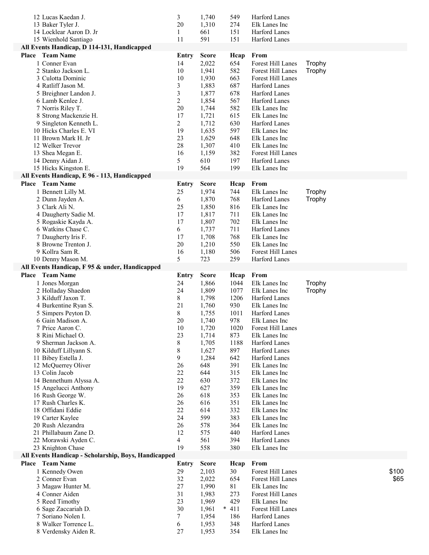| 12 Lucas Kaedan J.                                   | 3              | 1,740          | 549           | Harford Lanes                  |        |
|------------------------------------------------------|----------------|----------------|---------------|--------------------------------|--------|
| 13 Baker Tyler J.                                    | 20             | 1,310          | 274           | Elk Lanes Inc                  |        |
| 14 Locklear Aaron D. Jr                              | 1              | 661            | 151           | Harford Lanes                  |        |
| 15 Wienhold Santiago                                 | 11             | 591            | 151           | Harford Lanes                  |        |
| All Events Handicap, D 114-131, Handicapped          |                |                |               |                                |        |
| <b>Place</b> Team Name                               | Entry          | <b>Score</b>   | Heap          | From                           |        |
| 1 Conner Evan                                        | 14             | 2,022          | 654           | Forest Hill Lanes              | Trophy |
| 2 Stanko Jackson L.                                  | 10             | 1,941          | 582           | Forest Hill Lanes              | Trophy |
| 3 Culotta Dominic                                    | 10             | 1,930          | 663           | Forest Hill Lanes              |        |
| 4 Ratliff Jason M.                                   | 3              | 1,883          | 687           | Harford Lanes                  |        |
| 5 Breighner Landon J.                                | 3              | 1,877          | 678           | Harford Lanes                  |        |
| 6 Lamb Kenlee J.                                     | $\overline{c}$ | 1,854          | 567           | Harford Lanes                  |        |
| 7 Norris Riley T.                                    | 20             | 1,744          | 582           | Elk Lanes Inc                  |        |
| 8 Strong Mackenzie H.                                | 17             | 1,721          | 615           | Elk Lanes Inc                  |        |
| 9 Singleton Kenneth L.                               | $\overline{2}$ | 1,712          | 630           | Harford Lanes                  |        |
| 10 Hicks Charles E. VI<br>11 Brown Mark H. Jr        | 19<br>23       | 1,635          | 597<br>648    | Elk Lanes Inc<br>Elk Lanes Inc |        |
| 12 Welker Trevor                                     | 28             | 1,629<br>1,307 | 410           | Elk Lanes Inc                  |        |
| 13 Shea Megan E.                                     | 16             | 1,159          | 382           | Forest Hill Lanes              |        |
| 14 Denny Aidan J.                                    | 5              | 610            | 197           | Harford Lanes                  |        |
| 15 Hicks Kingston E.                                 | 19             | 564            | 199           | Elk Lanes Inc                  |        |
| All Events Handicap, E 96 - 113, Handicapped         |                |                |               |                                |        |
| <b>Place</b> Team Name                               | Entry          | <b>Score</b>   | Hcap          | From                           |        |
| 1 Bennett Lilly M.                                   | 25             | 1,974          | 744           | Elk Lanes Inc                  | Trophy |
| 2 Dunn Jayden A.                                     | 6              | 1,870          | 768           | Harford Lanes                  | Trophy |
| 3 Clark Ali N.                                       | 25             | 1,850          | 816           | Elk Lanes Inc                  |        |
| 4 Daugherty Sadie M.                                 | 17             | 1,817          | 711           | Elk Lanes Inc                  |        |
| 5 Rogaskie Kayda A.                                  | 17             | 1,807          | 702           | Elk Lanes Inc                  |        |
| 6 Watkins Chase C.                                   | 6              | 1,737          | 711           | Harford Lanes                  |        |
| 7 Daugherty Iris F.                                  | 17             | 1,708          | 768           | Elk Lanes Inc                  |        |
| 8 Browne Trenton J.                                  | 20             | 1,210          | 550           | Elk Lanes Inc                  |        |
| 9 Kollra Sam R.                                      | 16             | 1,180          | 506           | Forest Hill Lanes              |        |
| 10 Denny Mason M.                                    | 5              | 723            | 259           | Harford Lanes                  |        |
| All Events Handicap, F 95 & under, Handicapped       |                |                |               |                                |        |
|                                                      |                |                |               |                                |        |
| <b>Place</b> Team Name                               | <b>Entry</b>   | <b>Score</b>   | Heap          | From                           |        |
| 1 Jones Morgan                                       | 24             | 1,866          | 1044          | Elk Lanes Inc                  | Trophy |
| 2 Holladay Shaedon                                   | 24             | 1,809          | 1077          | Elk Lanes Inc                  | Trophy |
| 3 Kilduff Jaxon T.                                   | 8              | 1,798          | 1206          | Harford Lanes                  |        |
| 4 Burkentine Ryan S.                                 | 21             | 1,760          | 930           | Elk Lanes Inc                  |        |
| 5 Simpers Peyton D.                                  | $\,$ 8 $\,$    | 1,755          | 1011          | Harford Lanes                  |        |
| 6 Gain Madison A.                                    | 20             | 1,740          | 978           | Elk Lanes Inc                  |        |
| 7 Price Aaron C.                                     | 10             | 1,720          | 1020          | Forest Hill Lanes              |        |
| 8 Rini Michael O.                                    | 23             | 1,714          | 873           | Elk Lanes Inc                  |        |
| 9 Sherman Jackson A.                                 | $8\,$          | 1,705          | 1188          | Harford Lanes                  |        |
| 10 Kilduff Lillyann S.                               | 8              | 1,627          | 897           | Harford Lanes                  |        |
| 11 Bibey Estella J.                                  | 9              | 1,284          | 642           | Harford Lanes                  |        |
| 12 McQuerrey Oliver                                  | 26             | 648            | 391           | Elk Lanes Inc                  |        |
| 13 Colin Jacob                                       | 22             | 644            | 315           | Elk Lanes Inc                  |        |
| 14 Bennethum Alyssa A.                               | 22             | 630            | 372           | Elk Lanes Inc                  |        |
| 15 Angelucci Anthony                                 | 19             | 627            | 359           | Elk Lanes Inc                  |        |
| 16 Rush George W.<br>17 Rush Charles K.              | 26             | 618            | 353           | Elk Lanes Inc                  |        |
|                                                      | 26             | 616            | 351           | Elk Lanes Inc                  |        |
| 18 Offidani Eddie                                    | 22<br>24       | 614            | 332           | Elk Lanes Inc<br>Elk Lanes Inc |        |
| 19 Carter Kaylee<br>20 Rush Alezandra                | 26             | 599<br>578     | 383<br>364    | Elk Lanes Inc                  |        |
| 21 Phillabaum Zane D.                                | 12             | 575            | 440           | Harford Lanes                  |        |
| 22 Morawski Ayden C.                                 | $\overline{4}$ | 561            | 394           | Harford Lanes                  |        |
| 23 Knighton Chase                                    | 19             | 558            | 380           | Elk Lanes Inc                  |        |
| All Events Handicap - Scholarship, Boys, Handicapped |                |                |               |                                |        |
| <b>Place</b> Team Name                               | <b>Entry</b>   | <b>Score</b>   | Hcap          | From                           |        |
| 1 Kennedy Owen                                       | 29             | 2,103          | 30            | Forest Hill Lanes              | \$100  |
| 2 Conner Evan                                        | 32             | 2,022          | 654           | Forest Hill Lanes              | \$65   |
| 3 Magaw Hunter M.                                    | 27             | 1,990          | 81            | Elk Lanes Inc                  |        |
| 4 Conner Aiden                                       | 31             | 1,983          | 273           | Forest Hill Lanes              |        |
| 5 Reed Timothy                                       | 23             | 1,969          | 429           | Elk Lanes Inc                  |        |
| 6 Sage Zaccariah D.                                  | 30             | 1,961          | 411<br>$\ast$ | Forest Hill Lanes              |        |
| 7 Soriano Nolen I.                                   | 7              | 1,954          | 186           | Harford Lanes                  |        |
| 8 Walker Torrence L.<br>8 Verdensky Aiden R.         | 6<br>27        | 1,953<br>1,953 | 348<br>354    | Harford Lanes<br>Elk Lanes Inc |        |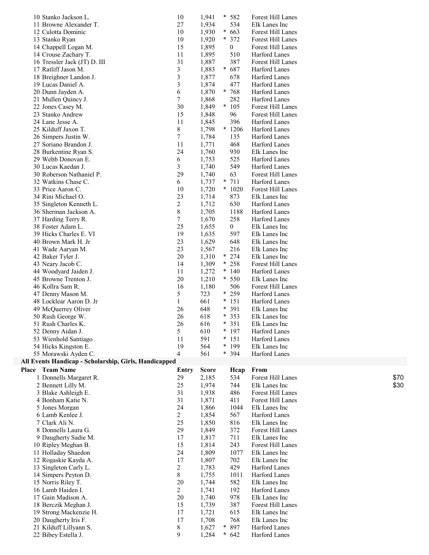| * 582<br>10 Stanko Jackson L.<br>10<br>1,941<br>Forest Hill Lanes<br>11 Browne Alexander T.<br>27<br>1,934<br>534<br>Elk Lanes Inc<br>1,930<br>$\ast$<br>12 Culotta Dominic<br>10<br>663<br>Forest Hill Lanes<br>$\ast$<br>13 Stanko Ryan<br>10<br>1,920<br>372<br>Forest Hill Lanes<br>15<br>14 Chappell Logan M.<br>1,895<br>0<br><b>Forest Hill Lanes</b><br>14 Crouse Zachary T.<br>11<br>Harford Lanes<br>1,895<br>510<br>31<br>387<br>Forest Hill Lanes<br>16 Tressler Jack (JT) D. III<br>1,887 |      |
|--------------------------------------------------------------------------------------------------------------------------------------------------------------------------------------------------------------------------------------------------------------------------------------------------------------------------------------------------------------------------------------------------------------------------------------------------------------------------------------------------------|------|
|                                                                                                                                                                                                                                                                                                                                                                                                                                                                                                        |      |
|                                                                                                                                                                                                                                                                                                                                                                                                                                                                                                        |      |
|                                                                                                                                                                                                                                                                                                                                                                                                                                                                                                        |      |
|                                                                                                                                                                                                                                                                                                                                                                                                                                                                                                        |      |
|                                                                                                                                                                                                                                                                                                                                                                                                                                                                                                        |      |
|                                                                                                                                                                                                                                                                                                                                                                                                                                                                                                        |      |
|                                                                                                                                                                                                                                                                                                                                                                                                                                                                                                        |      |
|                                                                                                                                                                                                                                                                                                                                                                                                                                                                                                        |      |
| 3<br>1,883<br>$\ast$<br>687<br>17 Ratliff Jason M.<br>Harford Lanes                                                                                                                                                                                                                                                                                                                                                                                                                                    |      |
| $\mathfrak{Z}$<br>1,877<br>Harford Lanes<br>18 Breighner Landon J.<br>678                                                                                                                                                                                                                                                                                                                                                                                                                              |      |
| 3<br>1,874<br>19 Lucas Daniel A.<br>477<br>Harford Lanes                                                                                                                                                                                                                                                                                                                                                                                                                                               |      |
| $* 768$<br>20 Dunn Jayden A.<br>6<br>1,870<br>Harford Lanes                                                                                                                                                                                                                                                                                                                                                                                                                                            |      |
| 7<br><b>Harford Lanes</b><br>21 Mullen Quincy J.<br>1,868<br>282                                                                                                                                                                                                                                                                                                                                                                                                                                       |      |
| 30<br>$\ast$<br>105<br>22 Jones Casey M.<br>1,849<br>Forest Hill Lanes                                                                                                                                                                                                                                                                                                                                                                                                                                 |      |
| 15<br>23 Stanko Andrew<br>1,848<br>96<br>Forest Hill Lanes                                                                                                                                                                                                                                                                                                                                                                                                                                             |      |
| 24 Lane Jesse A.<br>11<br>396<br>1,845<br>Harford Lanes                                                                                                                                                                                                                                                                                                                                                                                                                                                |      |
| 8<br>25 Kilduff Jaxon T.<br>* 1206<br>Harford Lanes<br>1,798                                                                                                                                                                                                                                                                                                                                                                                                                                           |      |
|                                                                                                                                                                                                                                                                                                                                                                                                                                                                                                        |      |
| 7<br>1,784<br>26 Simpers Justin W.<br>135<br>Harford Lanes                                                                                                                                                                                                                                                                                                                                                                                                                                             |      |
| 11<br>27 Soriano Brandon J.<br>1,771<br>468<br>Harford Lanes                                                                                                                                                                                                                                                                                                                                                                                                                                           |      |
| 24<br>1,760<br>Elk Lanes Inc<br>28 Burkentine Ryan S.<br>930                                                                                                                                                                                                                                                                                                                                                                                                                                           |      |
| 1,753<br>29 Webb Donovan E.<br>6<br>525<br>Harford Lanes                                                                                                                                                                                                                                                                                                                                                                                                                                               |      |
| 3<br>30 Lucas Kaedan J.<br>1,740<br>549<br>Harford Lanes                                                                                                                                                                                                                                                                                                                                                                                                                                               |      |
| 30 Roberson Nathaniel P.<br>29<br>1,740<br>63<br>Forest Hill Lanes                                                                                                                                                                                                                                                                                                                                                                                                                                     |      |
| $\ast$<br>711<br>32 Watkins Chase C.<br>6<br>1,737<br>Harford Lanes                                                                                                                                                                                                                                                                                                                                                                                                                                    |      |
| $*1020$<br>33 Price Aaron C.<br>10<br>1,720<br>Forest Hill Lanes                                                                                                                                                                                                                                                                                                                                                                                                                                       |      |
| 23<br>34 Rini Michael O.<br>1,714<br>873<br>Elk Lanes Inc                                                                                                                                                                                                                                                                                                                                                                                                                                              |      |
|                                                                                                                                                                                                                                                                                                                                                                                                                                                                                                        |      |
| $\overline{2}$<br>35 Singleton Kenneth L.<br>1,712<br>630<br>Harford Lanes                                                                                                                                                                                                                                                                                                                                                                                                                             |      |
| $8\,$<br>1,705<br>36 Sherman Jackson A.<br>1188<br>Harford Lanes                                                                                                                                                                                                                                                                                                                                                                                                                                       |      |
| $\tau$<br>258<br>37 Harding Terry R.<br>1,670<br>Harford Lanes                                                                                                                                                                                                                                                                                                                                                                                                                                         |      |
| 25<br>$\mathbf{0}$<br>38 Foster Adam L.<br>1,655<br>Elk Lanes Inc                                                                                                                                                                                                                                                                                                                                                                                                                                      |      |
| 19<br>Elk Lanes Inc<br>39 Hicks Charles E. VI<br>1,635<br>597                                                                                                                                                                                                                                                                                                                                                                                                                                          |      |
| 23<br>40 Brown Mark H. Jr<br>1,629<br>648<br>Elk Lanes Inc                                                                                                                                                                                                                                                                                                                                                                                                                                             |      |
| 23<br>Elk Lanes Inc<br>41 Wade Aaryan M.<br>1,567<br>216                                                                                                                                                                                                                                                                                                                                                                                                                                               |      |
| 20<br>$\ast$<br>274<br>Elk Lanes Inc<br>42 Baker Tyler J.<br>1,310                                                                                                                                                                                                                                                                                                                                                                                                                                     |      |
| 14<br>$* 258$<br>1,309<br>Forest Hill Lanes<br>43 Neary Jacob C.                                                                                                                                                                                                                                                                                                                                                                                                                                       |      |
| $*140$<br>Harford Lanes<br>44 Woodyard Jaiden J.                                                                                                                                                                                                                                                                                                                                                                                                                                                       |      |
| 11<br>1,272                                                                                                                                                                                                                                                                                                                                                                                                                                                                                            |      |
| 20<br>1,210<br>$* 550$<br>45 Browne Trenton J.<br>Elk Lanes Inc                                                                                                                                                                                                                                                                                                                                                                                                                                        |      |
|                                                                                                                                                                                                                                                                                                                                                                                                                                                                                                        |      |
| Forest Hill Lanes<br>46 Kollra Sam R.<br>16<br>1,180<br>506                                                                                                                                                                                                                                                                                                                                                                                                                                            |      |
| 5<br>723<br>$* 259$<br>47 Denny Mason M.<br><b>Harford Lanes</b>                                                                                                                                                                                                                                                                                                                                                                                                                                       |      |
| $* 151$<br>48 Locklear Aaron D. Jr<br>1<br>661<br>Harford Lanes                                                                                                                                                                                                                                                                                                                                                                                                                                        |      |
| 49 McQuerrey Oliver<br>26<br>$\ast$<br>391<br>Elk Lanes Inc<br>648                                                                                                                                                                                                                                                                                                                                                                                                                                     |      |
| $\ast$                                                                                                                                                                                                                                                                                                                                                                                                                                                                                                 |      |
| 353<br>50 Rush George W.<br>26<br>618<br>Elk Lanes Inc<br>*                                                                                                                                                                                                                                                                                                                                                                                                                                            |      |
| 26<br>351<br>Elk Lanes Inc<br>51 Rush Charles K.<br>616                                                                                                                                                                                                                                                                                                                                                                                                                                                |      |
| $5\overline{)}$<br>610<br>$* 197$<br>Harford Lanes<br>52 Denny Aidan J.                                                                                                                                                                                                                                                                                                                                                                                                                                |      |
| 591<br>$* 151$<br>Harford Lanes<br>53 Wienhold Santiago<br>11                                                                                                                                                                                                                                                                                                                                                                                                                                          |      |
| 19<br>54 Hicks Kingston E.<br>564<br>* 199<br>Elk Lanes Inc                                                                                                                                                                                                                                                                                                                                                                                                                                            |      |
| $\overline{4}$<br>561<br>* 394<br>Harford Lanes<br>55 Morawski Ayden C.                                                                                                                                                                                                                                                                                                                                                                                                                                |      |
| All Events Handicap - Scholarship, Girls, Handicapped                                                                                                                                                                                                                                                                                                                                                                                                                                                  |      |
| Place Team Name<br><b>Score</b><br>From<br>Hcap<br>Entry                                                                                                                                                                                                                                                                                                                                                                                                                                               |      |
| 1 Donnells Margaret R.<br>2,185<br>534<br>Forest Hill Lanes<br>29                                                                                                                                                                                                                                                                                                                                                                                                                                      | \$70 |
|                                                                                                                                                                                                                                                                                                                                                                                                                                                                                                        |      |
| 25<br>1,974<br>744<br>Elk Lanes Inc<br>2 Bennett Lilly M.                                                                                                                                                                                                                                                                                                                                                                                                                                              | \$30 |
| 31<br>3 Blake Ashleigh E.<br>1,938<br>Forest Hill Lanes<br>486                                                                                                                                                                                                                                                                                                                                                                                                                                         |      |
| 31<br>Forest Hill Lanes<br>4 Bonham Katie N.<br>1,871<br>411                                                                                                                                                                                                                                                                                                                                                                                                                                           |      |
| 24<br>Elk Lanes Inc<br>5 Jones Morgan<br>1,866<br>1044                                                                                                                                                                                                                                                                                                                                                                                                                                                 |      |
| $\overline{c}$<br>1,854<br>6 Lamb Kenlee J.<br>567<br>Harford Lanes                                                                                                                                                                                                                                                                                                                                                                                                                                    |      |
| 7 Clark Ali N.<br>25<br>Elk Lanes Inc<br>1,850<br>816                                                                                                                                                                                                                                                                                                                                                                                                                                                  |      |
| 8 Donnells Laura G.<br>29<br>1,849<br>372<br>Forest Hill Lanes                                                                                                                                                                                                                                                                                                                                                                                                                                         |      |
| 9 Daugherty Sadie M.<br>1,817<br>Elk Lanes Inc<br>17<br>711                                                                                                                                                                                                                                                                                                                                                                                                                                            |      |
| 15<br>1,814<br>243<br>Forest Hill Lanes<br>10 Ripley Meghan B.                                                                                                                                                                                                                                                                                                                                                                                                                                         |      |
| Elk Lanes Inc                                                                                                                                                                                                                                                                                                                                                                                                                                                                                          |      |
| 24<br>1,809<br>1077<br>11 Holladay Shaedon                                                                                                                                                                                                                                                                                                                                                                                                                                                             |      |
| 17<br>1,807<br>702<br>12 Rogaskie Kayda A.<br>Elk Lanes Inc                                                                                                                                                                                                                                                                                                                                                                                                                                            |      |
| $\overline{c}$<br>429<br>Harford Lanes<br>13 Singleton Carly L.<br>1,783                                                                                                                                                                                                                                                                                                                                                                                                                               |      |
| 8<br>1011<br>Harford Lanes<br>14 Simpers Peyton D.<br>1,755                                                                                                                                                                                                                                                                                                                                                                                                                                            |      |
| 20<br>15 Norris Riley T.<br>1,744<br>582<br>Elk Lanes Inc                                                                                                                                                                                                                                                                                                                                                                                                                                              |      |
| 16 Lamb Haiden I.<br>$\overline{2}$<br>Harford Lanes<br>1,741<br>192                                                                                                                                                                                                                                                                                                                                                                                                                                   |      |
| 17 Gain Madison A.<br>20<br>978<br>Elk Lanes Inc<br>1,740                                                                                                                                                                                                                                                                                                                                                                                                                                              |      |
| 15<br>Forest Hill Lanes<br>18 Berczik Meghan J.<br>1,739<br>387                                                                                                                                                                                                                                                                                                                                                                                                                                        |      |
| 19 Strong Mackenzie H.<br>17<br>1,721<br>615<br>Elk Lanes Inc                                                                                                                                                                                                                                                                                                                                                                                                                                          |      |
| 17<br>1,708<br>Elk Lanes Inc<br>20 Daugherty Iris F.<br>768                                                                                                                                                                                                                                                                                                                                                                                                                                            |      |
| $\ast$<br><b>Harford Lanes</b>                                                                                                                                                                                                                                                                                                                                                                                                                                                                         |      |
| 8<br>1,627<br>897<br>21 Kilduff Lillyann S.<br>9<br>*<br>642<br>Harford Lanes<br>22 Bibey Estella J.<br>1,284                                                                                                                                                                                                                                                                                                                                                                                          |      |